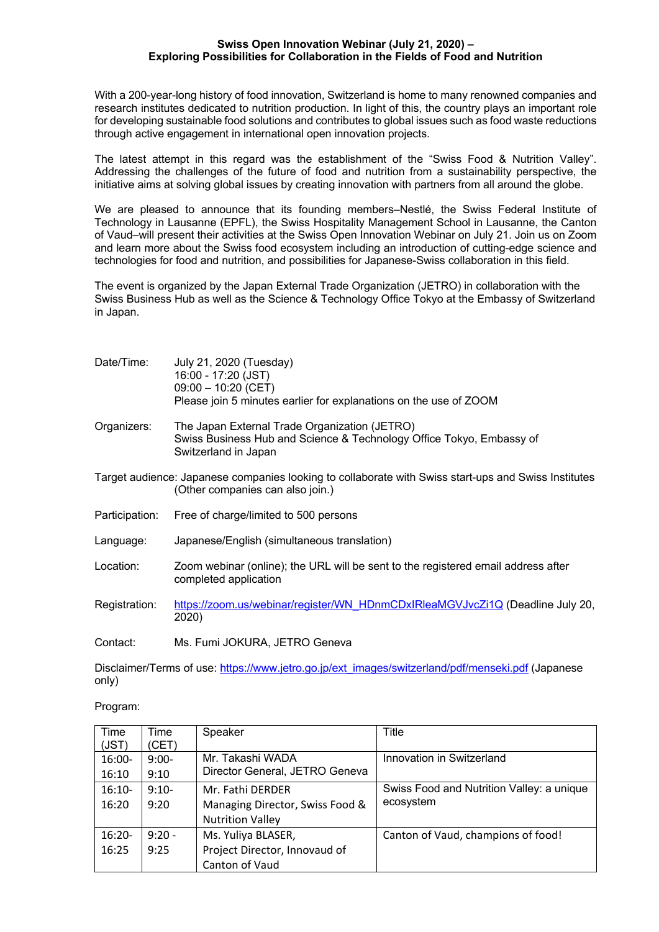## **Swiss Open Innovation Webinar (July 21, 2020) – Exploring Possibilities for Collaboration in the Fields of Food and Nutrition**

With a 200-year-long history of food innovation, Switzerland is home to many renowned companies and research institutes dedicated to nutrition production. In light of this, the country plays an important role for developing sustainable food solutions and contributes to global issues such as food waste reductions through active engagement in international open innovation projects.

The latest attempt in this regard was the establishment of the "Swiss Food & Nutrition Valley". Addressing the challenges of the future of food and nutrition from a sustainability perspective, the initiative aims at solving global issues by creating innovation with partners from all around the globe.

We are pleased to announce that its founding members–Nestlé, the Swiss Federal Institute of Technology in Lausanne (EPFL), the Swiss Hospitality Management School in Lausanne, the Canton of Vaud–will present their activities at the Swiss Open Innovation Webinar on July 21. Join us on Zoom and learn more about the Swiss food ecosystem including an introduction of cutting-edge science and technologies for food and nutrition, and possibilities for Japanese-Swiss collaboration in this field.

The event is organized by the Japan External Trade Organization (JETRO) in collaboration with the Swiss Business Hub as well as the Science & Technology Office Tokyo at the Embassy of Switzerland in Japan.

| Date/Time:     | July 21, 2020 (Tuesday)<br>16:00 - 17:20 (JST)<br>$09:00 - 10:20$ (CET)<br>Please join 5 minutes earlier for explanations on the use of ZOOM  |
|----------------|-----------------------------------------------------------------------------------------------------------------------------------------------|
| Organizers:    | The Japan External Trade Organization (JETRO)<br>Swiss Business Hub and Science & Technology Office Tokyo, Embassy of<br>Switzerland in Japan |
|                | Target audience: Japanese companies looking to collaborate with Swiss start-ups and Swiss Institutes<br>(Other companies can also join.)      |
| Participation: | Free of charge/limited to 500 persons                                                                                                         |
| Language:      | Japanese/English (simultaneous translation)                                                                                                   |
| Location:      | Zoom webinar (online); the URL will be sent to the registered email address after<br>completed application                                    |
| Registration:  | https://zoom.us/webinar/register/WN_HDnmCDxIRleaMGVJvcZi1Q (Deadline July 20,<br>2020)                                                        |
| Contact:       | Ms. Fumi JOKURA, JETRO Geneva                                                                                                                 |

Disclaimer/Terms of use: https://www.jetro.go.jp/ext\_images/switzerland/pdf/menseki.pdf (Japanese only)

Program:

| Time<br>(JST)     | Time<br>(CET)   | Speaker                                                    | Title                                     |
|-------------------|-----------------|------------------------------------------------------------|-------------------------------------------|
| 16:00-            | $9:00-$         | Mr. Takashi WADA<br>Director General, JETRO Geneva         | Innovation in Switzerland                 |
| 16:10<br>$16:10-$ | 9:10<br>$9:10-$ | Mr. Fathi DERDER                                           | Swiss Food and Nutrition Valley: a unique |
| 16:20             | 9:20            | Managing Director, Swiss Food &<br><b>Nutrition Valley</b> | ecosystem                                 |
| $16:20-$          | $9:20 -$        | Ms. Yuliya BLASER,                                         | Canton of Vaud, champions of food!        |
| 16:25             | 9:25            | Project Director, Innovaud of                              |                                           |
|                   |                 | Canton of Vaud                                             |                                           |